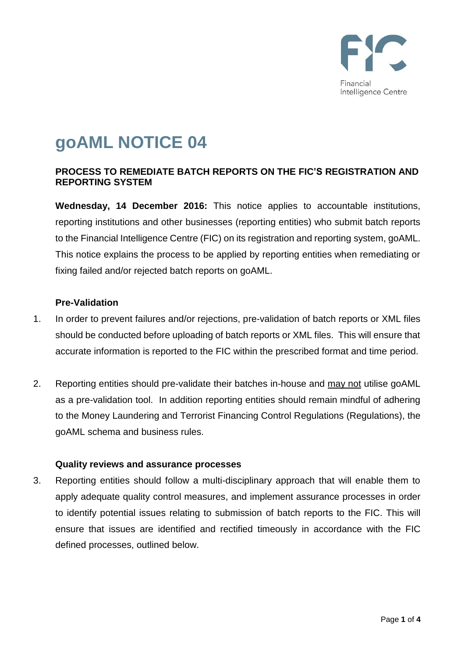

# **goAML NOTICE 04**

## **PROCESS TO REMEDIATE BATCH REPORTS ON THE FIC'S REGISTRATION AND REPORTING SYSTEM**

**Wednesday, 14 December 2016:** This notice applies to accountable institutions, reporting institutions and other businesses (reporting entities) who submit batch reports to the Financial Intelligence Centre (FIC) on its registration and reporting system, goAML. This notice explains the process to be applied by reporting entities when remediating or fixing failed and/or rejected batch reports on goAML.

### **Pre-Validation**

- 1. In order to prevent failures and/or rejections, pre-validation of batch reports or XML files should be conducted before uploading of batch reports or XML files. This will ensure that accurate information is reported to the FIC within the prescribed format and time period.
- 2. Reporting entities should pre-validate their batches in-house and may not utilise goAML as a pre-validation tool. In addition reporting entities should remain mindful of adhering to the Money Laundering and Terrorist Financing Control Regulations (Regulations), the goAML schema and business rules.

#### **Quality reviews and assurance processes**

3. Reporting entities should follow a multi-disciplinary approach that will enable them to apply adequate quality control measures, and implement assurance processes in order to identify potential issues relating to submission of batch reports to the FIC. This will ensure that issues are identified and rectified timeously in accordance with the FIC defined processes, outlined below.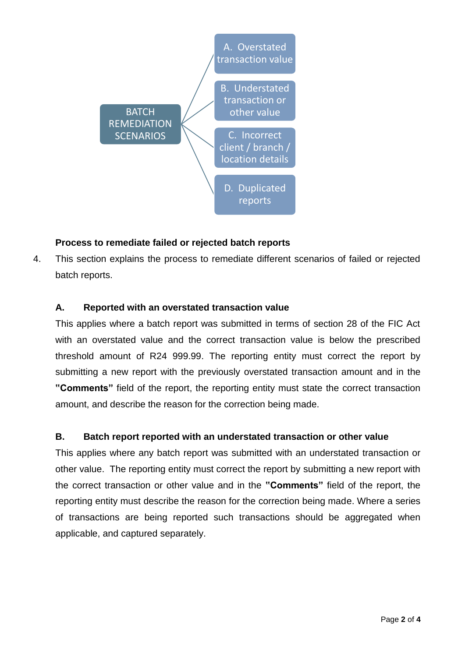

## **Process to remediate failed or rejected batch reports**

4. This section explains the process to remediate different scenarios of failed or rejected batch reports.

### **A. Reported with an overstated transaction value**

This applies where a batch report was submitted in terms of section 28 of the FIC Act with an overstated value and the correct transaction value is below the prescribed threshold amount of R24 999.99. The reporting entity must correct the report by submitting a new report with the previously overstated transaction amount and in the **"Comments"** field of the report, the reporting entity must state the correct transaction amount, and describe the reason for the correction being made.

### **B. Batch report reported with an understated transaction or other value**

This applies where any batch report was submitted with an understated transaction or other value. The reporting entity must correct the report by submitting a new report with the correct transaction or other value and in the **"Comments"** field of the report, the reporting entity must describe the reason for the correction being made. Where a series of transactions are being reported such transactions should be aggregated when applicable, and captured separately.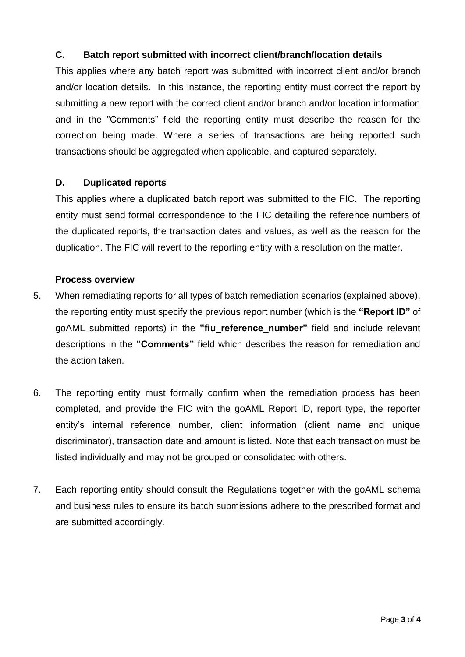## **C. Batch report submitted with incorrect client/branch/location details**

This applies where any batch report was submitted with incorrect client and/or branch and/or location details. In this instance, the reporting entity must correct the report by submitting a new report with the correct client and/or branch and/or location information and in the "Comments" field the reporting entity must describe the reason for the correction being made. Where a series of transactions are being reported such transactions should be aggregated when applicable, and captured separately.

#### **D. Duplicated reports**

This applies where a duplicated batch report was submitted to the FIC. The reporting entity must send formal correspondence to the FIC detailing the reference numbers of the duplicated reports, the transaction dates and values, as well as the reason for the duplication. The FIC will revert to the reporting entity with a resolution on the matter.

#### **Process overview**

- 5. When remediating reports for all types of batch remediation scenarios (explained above), the reporting entity must specify the previous report number (which is the **"Report ID"** of goAML submitted reports) in the **"fiu\_reference\_number"** field and include relevant descriptions in the **"Comments"** field which describes the reason for remediation and the action taken.
- 6. The reporting entity must formally confirm when the remediation process has been completed, and provide the FIC with the goAML Report ID, report type, the reporter entity's internal reference number, client information (client name and unique discriminator), transaction date and amount is listed. Note that each transaction must be listed individually and may not be grouped or consolidated with others.
- 7. Each reporting entity should consult the Regulations together with the goAML schema and business rules to ensure its batch submissions adhere to the prescribed format and are submitted accordingly.